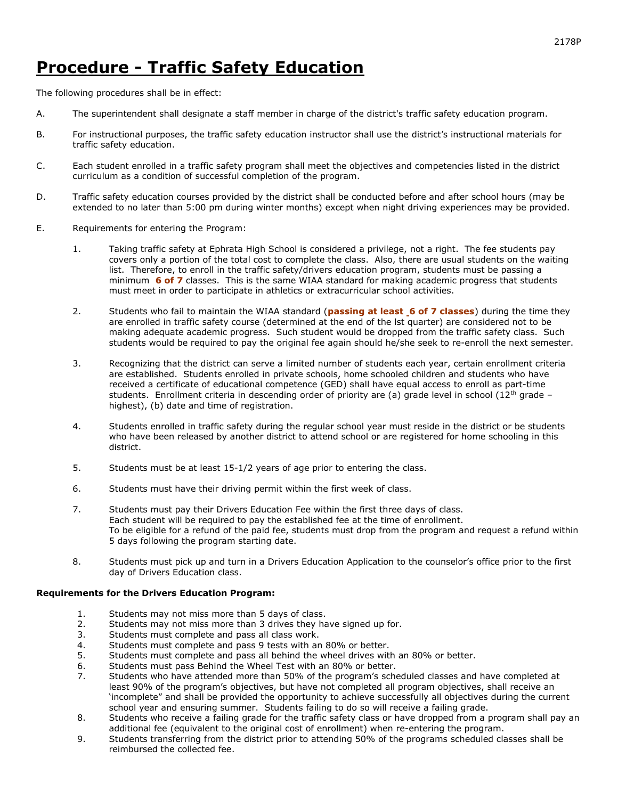## Procedure - Traffic Safety Education

The following procedures shall be in effect:

- A. The superintendent shall designate a staff member in charge of the district's traffic safety education program.
- B. For instructional purposes, the traffic safety education instructor shall use the district's instructional materials for traffic safety education.
- C. Each student enrolled in a traffic safety program shall meet the objectives and competencies listed in the district curriculum as a condition of successful completion of the program.
- D. Traffic safety education courses provided by the district shall be conducted before and after school hours (may be extended to no later than 5:00 pm during winter months) except when night driving experiences may be provided.
- E. Requirements for entering the Program:
	- 1. Taking traffic safety at Ephrata High School is considered a privilege, not a right. The fee students pay covers only a portion of the total cost to complete the class. Also, there are usual students on the waiting list. Therefore, to enroll in the traffic safety/drivers education program, students must be passing a minimum **6 of 7** classes. This is the same WIAA standard for making academic progress that students must meet in order to participate in athletics or extracurricular school activities.
	- 2. Students who fail to maintain the WIAA standard (passing at least 6 of 7 classes) during the time they are enrolled in traffic safety course (determined at the end of the lst quarter) are considered not to be making adequate academic progress. Such student would be dropped from the traffic safety class. Such students would be required to pay the original fee again should he/she seek to re-enroll the next semester.
	- 3. Recognizing that the district can serve a limited number of students each year, certain enrollment criteria are established. Students enrolled in private schools, home schooled children and students who have received a certificate of educational competence (GED) shall have equal access to enroll as part-time students. Enrollment criteria in descending order of priority are (a) grade level in school (12<sup>th</sup> grade – highest), (b) date and time of registration.
	- 4. Students enrolled in traffic safety during the regular school year must reside in the district or be students who have been released by another district to attend school or are registered for home schooling in this district.
	- 5. Students must be at least 15-1/2 years of age prior to entering the class.
	- 6. Students must have their driving permit within the first week of class.
	- 7. Students must pay their Drivers Education Fee within the first three days of class. Each student will be required to pay the established fee at the time of enrollment. To be eligible for a refund of the paid fee, students must drop from the program and request a refund within 5 days following the program starting date.
	- 8. Students must pick up and turn in a Drivers Education Application to the counselor's office prior to the first day of Drivers Education class.

## Requirements for the Drivers Education Program:

- 1. Students may not miss more than 5 days of class.<br>2. Students may not miss more than 3 drives they ha
- 2. Students may not miss more than 3 drives they have signed up for.<br>3. Students must complete and pass all class work.
- Students must complete and pass all class work.
- 4. Students must complete and pass 9 tests with an 80% or better.
- 5. Students must complete and pass all behind the wheel drives with an 80% or better.
- 6. Students must pass Behind the Wheel Test with an 80% or better.<br>7. Students who have attended more than 50% of the program's sche
- Students who have attended more than 50% of the program's scheduled classes and have completed at least 90% of the program's objectives, but have not completed all program objectives, shall receive an 'incomplete" and shall be provided the opportunity to achieve successfully all objectives during the current school year and ensuring summer. Students failing to do so will receive a failing grade.
- 8. Students who receive a failing grade for the traffic safety class or have dropped from a program shall pay an additional fee (equivalent to the original cost of enrollment) when re-entering the program.
- 9. Students transferring from the district prior to attending 50% of the programs scheduled classes shall be reimbursed the collected fee.